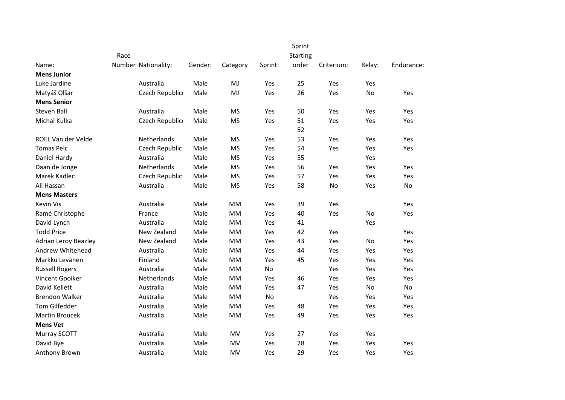|                             |                     |         |           |         | Sprint |            |           |            |
|-----------------------------|---------------------|---------|-----------|---------|--------|------------|-----------|------------|
|                             | <b>Starting</b>     |         |           |         |        |            |           |            |
| Name:                       | Number Nationality: | Gender: | Category  | Sprint: | order  | Criterium: | Relay:    | Endurance: |
| <b>Mens Junior</b>          |                     |         |           |         |        |            |           |            |
| Luke Jardine                | Australia           | Male    | MJ        | Yes     | 25     | Yes        | Yes       |            |
| Matyáš Olšar                | Czech Republic      | Male    | MJ        | Yes     | 26     | Yes        | No        | Yes        |
| <b>Mens Senior</b>          |                     |         |           |         |        |            |           |            |
| Steven Ball                 | Australia           | Male    | <b>MS</b> | Yes     | 50     | Yes        | Yes       | Yes        |
| Michal Kulka                | Czech Republic      | Male    | <b>MS</b> | Yes     | 51     | Yes        | Yes       | Yes        |
|                             |                     |         |           |         | 52     |            |           |            |
| ROEL Van der Velde          | Netherlands         | Male    | <b>MS</b> | Yes     | 53     | Yes        | Yes       | Yes        |
| <b>Tomas Pelc</b>           | Czech Republic      | Male    | <b>MS</b> | Yes     | 54     | Yes        | Yes       | Yes        |
| Daniel Hardy                | Australia           | Male    | <b>MS</b> | Yes     | 55     |            | Yes       |            |
| Daan de Jonge               | Netherlands         | Male    | <b>MS</b> | Yes     | 56     | Yes        | Yes       | Yes        |
| Marek Kadlec                | Czech Republic      | Male    | <b>MS</b> | Yes     | 57     | Yes        | Yes       | Yes        |
| Ali Hassan                  | Australia           | Male    | <b>MS</b> | Yes     | 58     | No         | Yes       | No         |
| <b>Mens Masters</b>         |                     |         |           |         |        |            |           |            |
| Kevin Vis                   | Australia           | Male    | <b>MM</b> | Yes     | 39     | Yes        |           | Yes        |
| Ramé Christophe             | France              | Male    | <b>MM</b> | Yes     | 40     | Yes        | <b>No</b> | Yes        |
| David Lynch                 | Australia           | Male    | MM        | Yes     | 41     |            | Yes       |            |
| <b>Todd Price</b>           | New Zealand         | Male    | <b>MM</b> | Yes     | 42     | Yes        |           | Yes        |
| <b>Adrian Leroy Beazley</b> | New Zealand         | Male    | <b>MM</b> | Yes     | 43     | Yes        | No        | Yes        |
| Andrew Whitehead            | Australia           | Male    | <b>MM</b> | Yes     | 44     | Yes        | Yes       | Yes        |
| Markku Levänen              | Finland             | Male    | MM        | Yes     | 45     | Yes        | Yes       | Yes        |
| <b>Russell Rogers</b>       | Australia           | Male    | <b>MM</b> | No      |        | Yes        | Yes       | Yes        |
| Vincent Gooiker             | Netherlands         | Male    | <b>MM</b> | Yes     | 46     | Yes        | Yes       | Yes        |
| David Kellett               | Australia           | Male    | MM        | Yes     | 47     | Yes        | No        | No         |
| <b>Brendon Walker</b>       | Australia           | Male    | <b>MM</b> | No      |        | Yes        | Yes       | Yes        |
| <b>Tom Gilfedder</b>        | Australia           | Male    | MM        | Yes     | 48     | Yes        | Yes       | Yes        |
| <b>Martin Broucek</b>       | Australia           | Male    | <b>MM</b> | Yes     | 49     | Yes        | Yes       | Yes        |
| <b>Mens Vet</b>             |                     |         |           |         |        |            |           |            |
| Murray SCOTT                | Australia           | Male    | MV        | Yes     | 27     | Yes        | Yes       |            |
| David Bye                   | Australia           | Male    | MV        | Yes     | 28     | Yes        | Yes       | Yes        |
| Anthony Brown               | Australia           | Male    | MV        | Yes     | 29     | Yes        | Yes       | Yes        |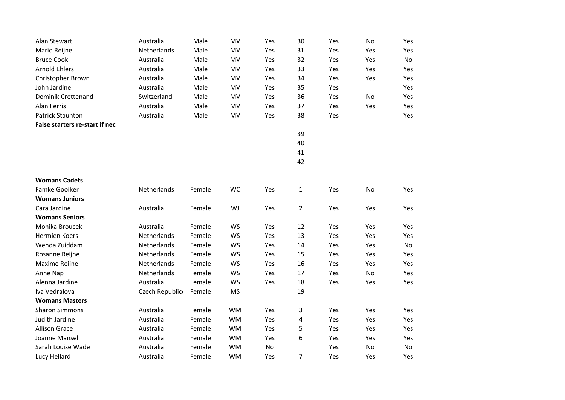| Alan Stewart                   | Australia      | Male   | MV        | Yes | 30             | Yes | No  | Yes |
|--------------------------------|----------------|--------|-----------|-----|----------------|-----|-----|-----|
| Mario Reijne                   | Netherlands    | Male   | MV        | Yes | 31             | Yes | Yes | Yes |
| <b>Bruce Cook</b>              | Australia      | Male   | MV        | Yes | 32             | Yes | Yes | No  |
| <b>Arnold Ehlers</b>           | Australia      | Male   | MV        | Yes | 33             | Yes | Yes | Yes |
| Christopher Brown              | Australia      | Male   | MV        | Yes | 34             | Yes | Yes | Yes |
| John Jardine                   | Australia      | Male   | MV        | Yes | 35             | Yes |     | Yes |
| Dominik Crettenand             | Switzerland    | Male   | MV        | Yes | 36             | Yes | No  | Yes |
| Alan Ferris                    | Australia      | Male   | MV        | Yes | 37             | Yes | Yes | Yes |
| <b>Patrick Staunton</b>        | Australia      | Male   | MV        | Yes | 38             | Yes |     | Yes |
| False starters re-start if nec |                |        |           |     |                |     |     |     |
|                                |                |        |           |     | 39             |     |     |     |
|                                |                |        |           |     | 40             |     |     |     |
|                                |                |        |           |     | 41             |     |     |     |
|                                |                |        |           |     | 42             |     |     |     |
|                                |                |        |           |     |                |     |     |     |
| <b>Womans Cadets</b>           |                |        |           |     |                |     |     |     |
| <b>Famke Gooiker</b>           | Netherlands    | Female | WC        | Yes | $\mathbf{1}$   | Yes | No  | Yes |
| <b>Womans Juniors</b>          |                |        |           |     |                |     |     |     |
| Cara Jardine                   | Australia      | Female | WJ        | Yes | $\overline{2}$ | Yes | Yes | Yes |
| <b>Womans Seniors</b>          |                |        |           |     |                |     |     |     |
| Monika Broucek                 | Australia      | Female | <b>WS</b> | Yes | 12             | Yes | Yes | Yes |
| <b>Hermien Koers</b>           | Netherlands    | Female | WS        | Yes | 13             | Yes | Yes | Yes |
| Wenda Zuiddam                  | Netherlands    | Female | <b>WS</b> | Yes | 14             | Yes | Yes | No  |
| Rosanne Reijne                 | Netherlands    | Female | WS        | Yes | 15             | Yes | Yes | Yes |
| Maxime Reijne                  | Netherlands    | Female | WS        | Yes | 16             | Yes | Yes | Yes |
| Anne Nap                       | Netherlands    | Female | WS        | Yes | 17             | Yes | No  | Yes |
| Alenna Jardine                 | Australia      | Female | <b>WS</b> | Yes | 18             | Yes | Yes | Yes |
| Iva Vedralova                  | Czech Republic | Female | <b>MS</b> |     | 19             |     |     |     |
| <b>Womans Masters</b>          |                |        |           |     |                |     |     |     |
| <b>Sharon Simmons</b>          | Australia      | Female | <b>WM</b> | Yes | 3              | Yes | Yes | Yes |
| Judith Jardine                 | Australia      | Female | <b>WM</b> | Yes | 4              | Yes | Yes | Yes |
| <b>Allison Grace</b>           | Australia      | Female | <b>WM</b> | Yes | 5              | Yes | Yes | Yes |
| Joanne Mansell                 | Australia      | Female | <b>WM</b> | Yes | 6              | Yes | Yes | Yes |
| Sarah Louise Wade              | Australia      | Female | <b>WM</b> | No  |                | Yes | No  | No  |
| Lucy Hellard                   | Australia      | Female | <b>WM</b> | Yes | 7              | Yes | Yes | Yes |
|                                |                |        |           |     |                |     |     |     |